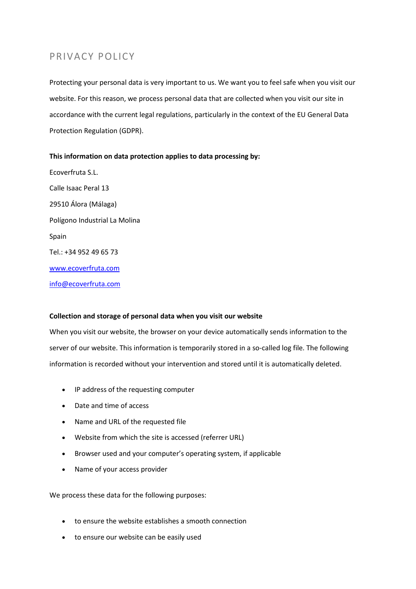# PRIVACY POLICY

Protecting your personal data is very important to us. We want you to feel safe when you visit our website. For this reason, we process personal data that are collected when you visit our site in accordance with the current legal regulations, particularly in the context of the EU General Data Protection Regulation (GDPR).

## **This information on data protection applies to data processing by:**

Ecoverfruta S.L. Calle Isaac Peral 13 29510 Álora (Málaga) Polígono Industrial La Molina Spain Tel.: +34 952 49 65 73 [www.ecoverfruta.com](http://www.ecoverfruta.com/) [info@ecoverfruta.com](mailto:info@ecoverfruta.com)

## **Collection and storage of personal data when you visit our website**

When you visit our website, the browser on your device automatically sends information to the server of our website. This information is temporarily stored in a so-called log file. The following information is recorded without your intervention and stored until it is automatically deleted.

- IP address of the requesting computer
- Date and time of access
- Name and URL of the requested file
- Website from which the site is accessed (referrer URL)
- Browser used and your computer's operating system, if applicable
- Name of your access provider

We process these data for the following purposes:

- to ensure the website establishes a smooth connection
- to ensure our website can be easily used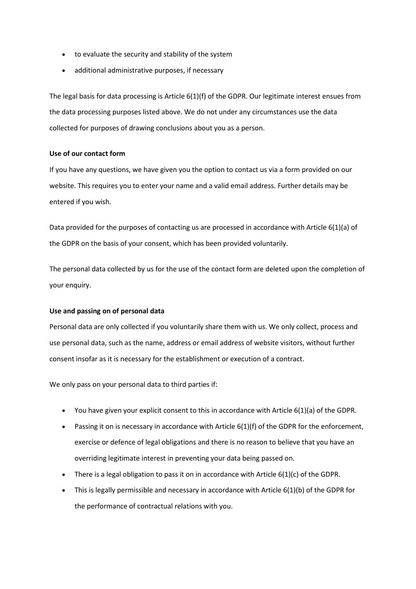- to evaluate the security and stability of the system
- additional administrative purposes, if necessary

The legal basis for data processing is Article 6(1)(f) of the GDPR. Our legitimate interest ensues from the data processing purposes listed above. We do not under any circumstances use the data collected for purposes of drawing conclusions about you as a person.

## **Use of our contact form**

If you have any questions, we have given you the option to contact us via a form provided on our website. This requires you to enter your name and a valid email address. Further details may be entered if you wish.

Data provided for the purposes of contacting us are processed in accordance with Article 6(1)(a) of the GDPR on the basis of your consent, which has been provided voluntarily.

The personal data collected by us for the use of the contact form are deleted upon the completion of your enquiry.

## **Use and passing on of personal data**

Personal data are only collected if you voluntarily share them with us. We only collect, process and use personal data, such as the name, address or email address of website visitors, without further consent insofar as it is necessary for the establishment or execution of a contract.

We only pass on your personal data to third parties if:

- You have given your explicit consent to this in accordance with Article  $6(1)(a)$  of the GDPR.
- Passing it on is necessary in accordance with Article 6(1)(f) of the GDPR for the enforcement, exercise or defence of legal obligations and there is no reason to believe that you have an overriding legitimate interest in preventing your data being passed on.
- There is a legal obligation to pass it on in accordance with Article  $6(1)(c)$  of the GDPR.
- This is legally permissible and necessary in accordance with Article 6(1)(b) of the GDPR for the performance of contractual relations with you.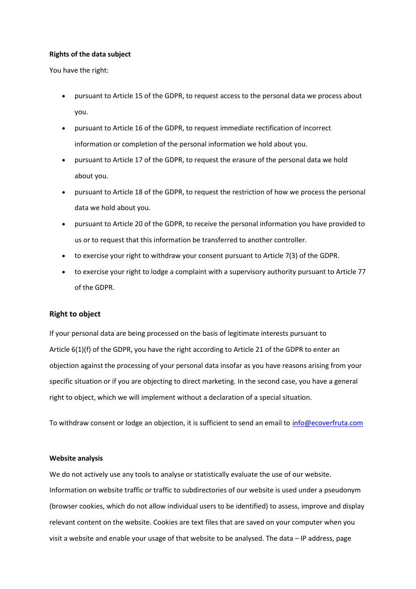### **Rights of the data subject**

You have the right:

- pursuant to Article 15 of the GDPR, to request access to the personal data we process about you.
- pursuant to Article 16 of the GDPR, to request immediate rectification of incorrect information or completion of the personal information we hold about you.
- pursuant to Article 17 of the GDPR, to request the erasure of the personal data we hold about you.
- pursuant to Article 18 of the GDPR, to request the restriction of how we process the personal data we hold about you.
- pursuant to Article 20 of the GDPR, to receive the personal information you have provided to us or to request that this information be transferred to another controller.
- to exercise your right to withdraw your consent pursuant to Article 7(3) of the GDPR.
- to exercise your right to lodge a complaint with a supervisory authority pursuant to Article 77 of the GDPR.

#### **Right to object**

If your personal data are being processed on the basis of legitimate interests pursuant to Article 6(1)(f) of the GDPR, you have the right according to Article 21 of the GDPR to enter an objection against the processing of your personal data insofar as you have reasons arising from your specific situation or if you are objecting to direct marketing. In the second case, you have a general right to object, which we will implement without a declaration of a special situation.

To withdraw consent or lodge an objection, it is sufficient to send an email to [info@ecoverfruta.com](mailto:info@ecoverfruta.com)

### **Website analysis**

We do not actively use any tools to analyse or statistically evaluate the use of our website. Information on website traffic or traffic to subdirectories of our website is used under a pseudonym (browser cookies, which do not allow individual users to be identified) to assess, improve and display relevant content on the website. Cookies are text files that are saved on your computer when you visit a website and enable your usage of that website to be analysed. The data – IP address, page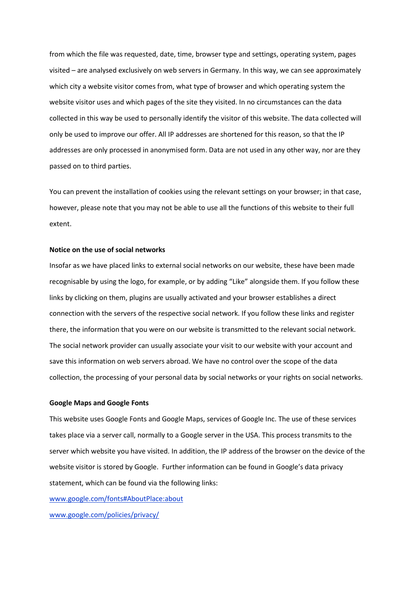from which the file was requested, date, time, browser type and settings, operating system, pages visited – are analysed exclusively on web servers in Germany. In this way, we can see approximately which city a website visitor comes from, what type of browser and which operating system the website visitor uses and which pages of the site they visited. In no circumstances can the data collected in this way be used to personally identify the visitor of this website. The data collected will only be used to improve our offer. All IP addresses are shortened for this reason, so that the IP addresses are only processed in anonymised form. Data are not used in any other way, nor are they passed on to third parties.

You can prevent the installation of cookies using the relevant settings on your browser; in that case, however, please note that you may not be able to use all the functions of this website to their full extent.

### **Notice on the use of social networks**

Insofar as we have placed links to external social networks on our website, these have been made recognisable by using the logo, for example, or by adding "Like" alongside them. If you follow these links by clicking on them, plugins are usually activated and your browser establishes a direct connection with the servers of the respective social network. If you follow these links and register there, the information that you were on our website is transmitted to the relevant social network. The social network provider can usually associate your visit to our website with your account and save this information on web servers abroad. We have no control over the scope of the data collection, the processing of your personal data by social networks or your rights on social networks.

### **Google Maps and Google Fonts**

This website uses Google Fonts and Google Maps, services of Google Inc. The use of these services takes place via a server call, normally to a Google server in the USA. This process transmits to the server which website you have visited. In addition, the IP address of the browser on the device of the website visitor is stored by Google. Further information can be found in Google's data privacy statement, which can be found via the following links:

[www.google.com/fonts#AboutPlace:about](http://www.google.com/fonts#AboutPlace:about)

[www.google.com/policies/privacy/](http://www.google.com/policies/privacy/)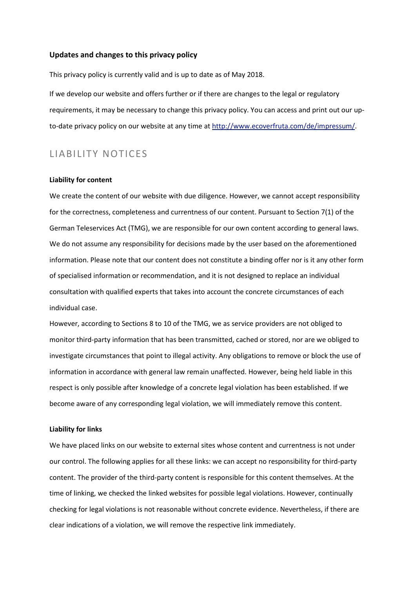### **Updates and changes to this privacy policy**

This privacy policy is currently valid and is up to date as of May 2018.

If we develop our website and offers further or if there are changes to the legal or regulatory requirements, it may be necessary to change this privacy policy. You can access and print out our upto-date privacy policy on our website at any time at http://www.ecoverfruta.com/de/impressum/.

## LIABILITY NOTICES

### **Liability for content**

We create the content of our website with due diligence. However, we cannot accept responsibility for the correctness, completeness and currentness of our content. Pursuant to Section 7(1) of the German Teleservices Act (TMG), we are responsible for our own content according to general laws. We do not assume any responsibility for decisions made by the user based on the aforementioned information. Please note that our content does not constitute a binding offer nor is it any other form of specialised information or recommendation, and it is not designed to replace an individual consultation with qualified experts that takes into account the concrete circumstances of each individual case.

However, according to Sections 8 to 10 of the TMG, we as service providers are not obliged to monitor third-party information that has been transmitted, cached or stored, nor are we obliged to investigate circumstances that point to illegal activity. Any obligations to remove or block the use of information in accordance with general law remain unaffected. However, being held liable in this respect is only possible after knowledge of a concrete legal violation has been established. If we become aware of any corresponding legal violation, we will immediately remove this content.

### **Liability for links**

We have placed links on our website to external sites whose content and currentness is not under our control. The following applies for all these links: we can accept no responsibility for third-party content. The provider of the third-party content is responsible for this content themselves. At the time of linking, we checked the linked websites for possible legal violations. However, continually checking for legal violations is not reasonable without concrete evidence. Nevertheless, if there are clear indications of a violation, we will remove the respective link immediately.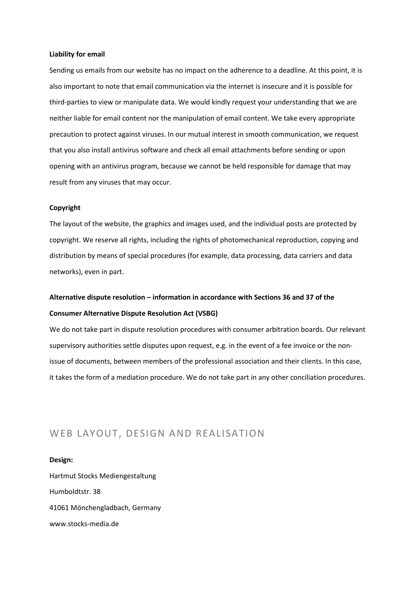### **Liability for email**

Sending us emails from our website has no impact on the adherence to a deadline. At this point, it is also important to note that email communication via the internet is insecure and it is possible for third-parties to view or manipulate data. We would kindly request your understanding that we are neither liable for email content nor the manipulation of email content. We take every appropriate precaution to protect against viruses. In our mutual interest in smooth communication, we request that you also install antivirus software and check all email attachments before sending or upon opening with an antivirus program, because we cannot be held responsible for damage that may result from any viruses that may occur.

#### **Copyright**

The layout of the website, the graphics and images used, and the individual posts are protected by copyright. We reserve all rights, including the rights of photomechanical reproduction, copying and distribution by means of special procedures (for example, data processing, data carriers and data networks), even in part.

# **Alternative dispute resolution – information in accordance with Sections 36 and 37 of the Consumer Alternative Dispute Resolution Act (VSBG)**

We do not take part in dispute resolution procedures with consumer arbitration boards. Our relevant supervisory authorities settle disputes upon request, e.g. in the event of a fee invoice or the nonissue of documents, between members of the professional association and their clients. In this case, it takes the form of a mediation procedure. We do not take part in any other conciliation procedures.

# WEB LAYOUT, DESIGN AND REALISATION

**Design:** Hartmut Stocks Mediengestaltung Humboldtstr. 38 41061 Mönchengladbach, Germany www.stocks-media.de